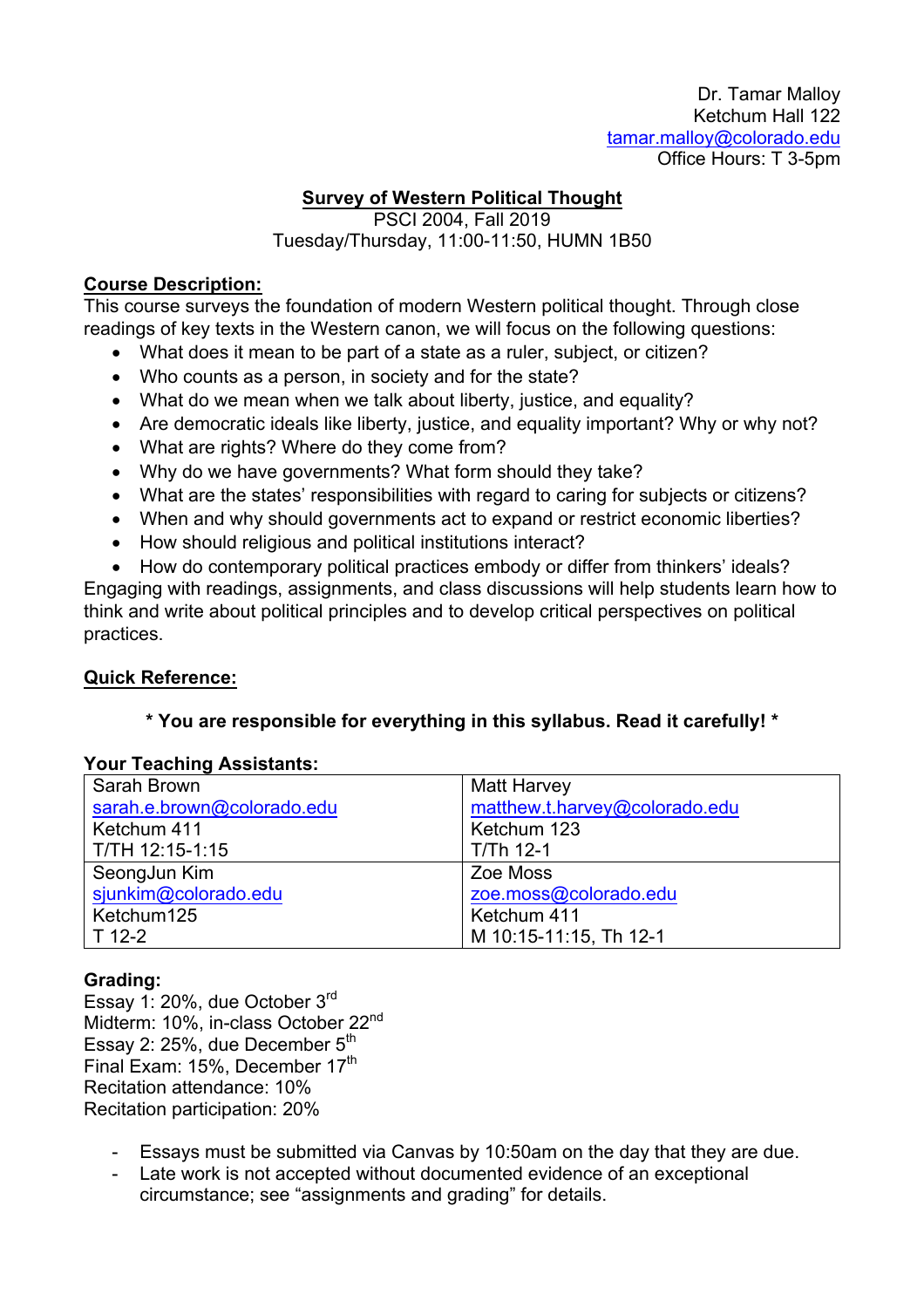Dr. Tamar Malloy Ketchum Hall 122 tamar.malloy@colorado.edu Office Hours: T 3-5pm

# **Survey of Western Political Thought**

PSCI 2004, Fall 2019

Tuesday/Thursday, 11:00-11:50, HUMN 1B50

# **Course Description:**

This course surveys the foundation of modern Western political thought. Through close readings of key texts in the Western canon, we will focus on the following questions:

- What does it mean to be part of a state as a ruler, subject, or citizen?
- Who counts as a person, in society and for the state?
- What do we mean when we talk about liberty, justice, and equality?
- Are democratic ideals like liberty, justice, and equality important? Why or why not?
- What are rights? Where do they come from?
- Why do we have governments? What form should they take?
- What are the states' responsibilities with regard to caring for subjects or citizens?
- When and why should governments act to expand or restrict economic liberties?
- How should religious and political institutions interact?
- How do contemporary political practices embody or differ from thinkers' ideals?

Engaging with readings, assignments, and class discussions will help students learn how to think and write about political principles and to develop critical perspectives on political practices.

# **Quick Reference:**

# **\* You are responsible for everything in this syllabus. Read it carefully! \***

# **Your Teaching Assistants:**

| Sarah Brown                | <b>Matt Harvey</b>            |
|----------------------------|-------------------------------|
| sarah.e.brown@colorado.edu | matthew.t.harvey@colorado.edu |
| Ketchum 411                | Ketchum 123                   |
| T/TH 12:15-1:15            | T/Th 12-1                     |
| SeongJun Kim               | Zoe Moss                      |
| sjunkim@colorado.edu       | zoe.moss@colorado.edu         |
| Ketchum125                 | Ketchum 411                   |
| $T$ 12-2                   | M 10:15-11:15, Th 12-1        |

# **Grading:**

Essay 1: 20%, due October 3rd Midterm: 10%, in-class October 22<sup>nd</sup> Essay 2: 25%, due December 5<sup>th</sup> Final Exam: 15%, December 17<sup>th</sup> Recitation attendance: 10% Recitation participation: 20%

- Essays must be submitted via Canvas by 10:50am on the day that they are due.
- Late work is not accepted without documented evidence of an exceptional circumstance; see "assignments and grading" for details.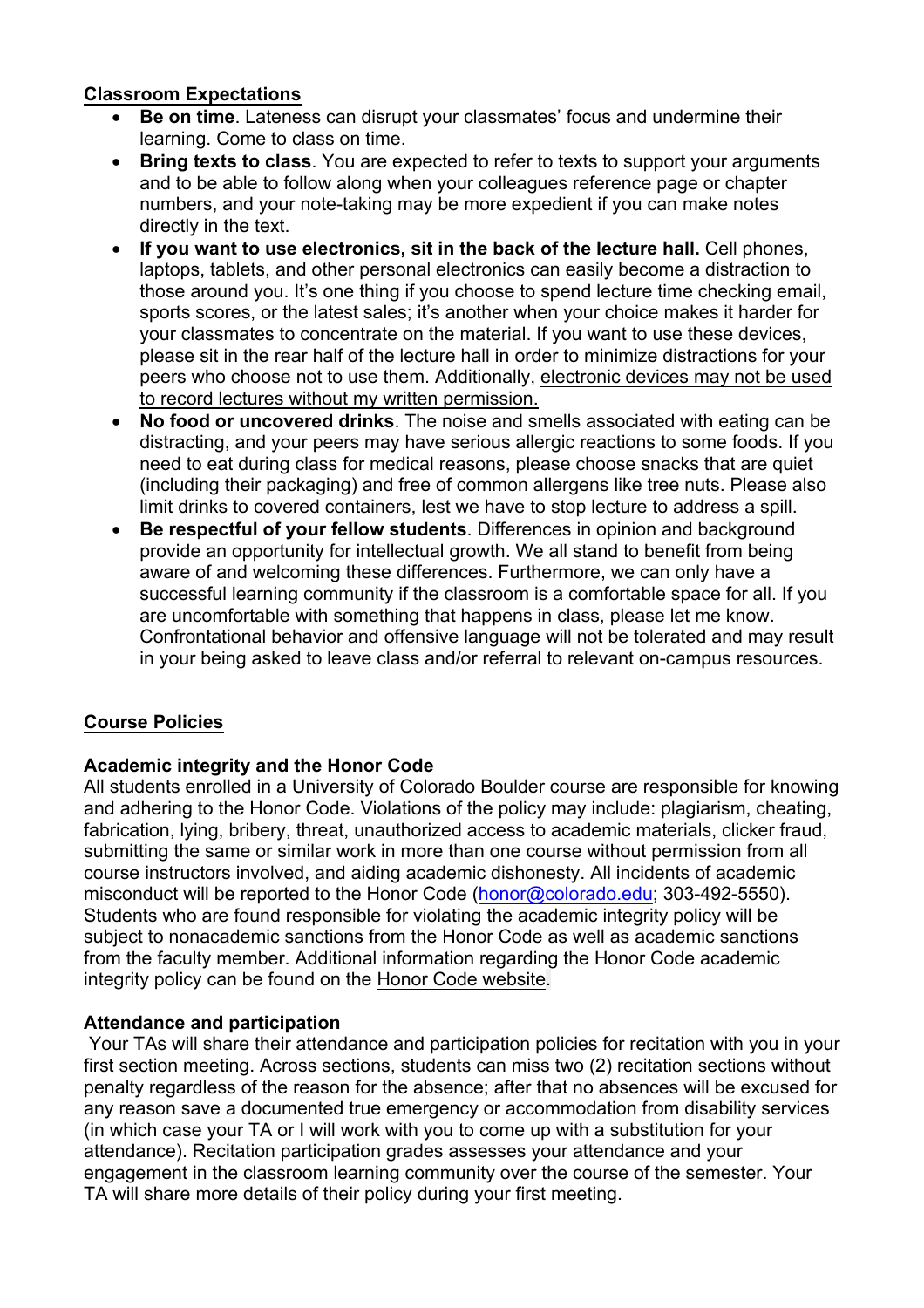# **Classroom Expectations**

- **Be on time**. Lateness can disrupt your classmates' focus and undermine their learning. Come to class on time.
- **Bring texts to class**. You are expected to refer to texts to support your arguments and to be able to follow along when your colleagues reference page or chapter numbers, and your note-taking may be more expedient if you can make notes directly in the text.
- **If you want to use electronics, sit in the back of the lecture hall.** Cell phones, laptops, tablets, and other personal electronics can easily become a distraction to those around you. It's one thing if you choose to spend lecture time checking email, sports scores, or the latest sales; it's another when your choice makes it harder for your classmates to concentrate on the material. If you want to use these devices, please sit in the rear half of the lecture hall in order to minimize distractions for your peers who choose not to use them. Additionally, electronic devices may not be used to record lectures without my written permission.
- **No food or uncovered drinks**. The noise and smells associated with eating can be distracting, and your peers may have serious allergic reactions to some foods. If you need to eat during class for medical reasons, please choose snacks that are quiet (including their packaging) and free of common allergens like tree nuts. Please also limit drinks to covered containers, lest we have to stop lecture to address a spill.
- **Be respectful of your fellow students**. Differences in opinion and background provide an opportunity for intellectual growth. We all stand to benefit from being aware of and welcoming these differences. Furthermore, we can only have a successful learning community if the classroom is a comfortable space for all. If you are uncomfortable with something that happens in class, please let me know. Confrontational behavior and offensive language will not be tolerated and may result in your being asked to leave class and/or referral to relevant on-campus resources.

# **Course Policies**

# **Academic integrity and the Honor Code**

All students enrolled in a University of Colorado Boulder course are responsible for knowing and adhering to the Honor Code. Violations of the policy may include: plagiarism, cheating, fabrication, lying, bribery, threat, unauthorized access to academic materials, clicker fraud, submitting the same or similar work in more than one course without permission from all course instructors involved, and aiding academic dishonesty. All incidents of academic misconduct will be reported to the Honor Code (honor@colorado.edu; 303-492-5550). Students who are found responsible for violating the academic integrity policy will be subject to nonacademic sanctions from the Honor Code as well as academic sanctions from the faculty member. Additional information regarding the Honor Code academic integrity policy can be found on the Honor Code website.

# **Attendance and participation**

Your TAs will share their attendance and participation policies for recitation with you in your first section meeting. Across sections, students can miss two (2) recitation sections without penalty regardless of the reason for the absence; after that no absences will be excused for any reason save a documented true emergency or accommodation from disability services (in which case your TA or I will work with you to come up with a substitution for your attendance). Recitation participation grades assesses your attendance and your engagement in the classroom learning community over the course of the semester. Your TA will share more details of their policy during your first meeting.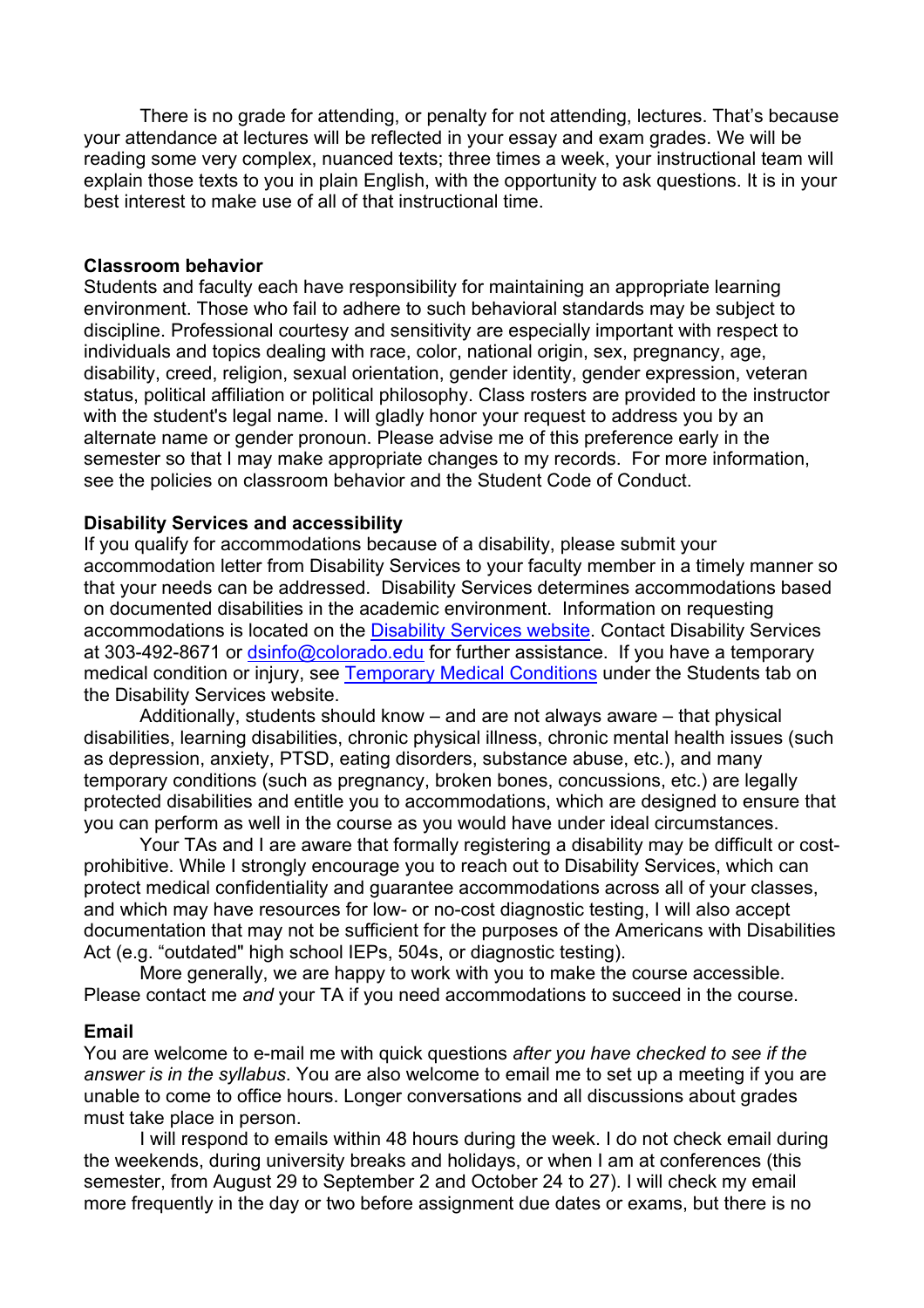There is no grade for attending, or penalty for not attending, lectures. That's because your attendance at lectures will be reflected in your essay and exam grades. We will be reading some very complex, nuanced texts; three times a week, your instructional team will explain those texts to you in plain English, with the opportunity to ask questions. It is in your best interest to make use of all of that instructional time.

#### **Classroom behavior**

Students and faculty each have responsibility for maintaining an appropriate learning environment. Those who fail to adhere to such behavioral standards may be subject to discipline. Professional courtesy and sensitivity are especially important with respect to individuals and topics dealing with race, color, national origin, sex, pregnancy, age, disability, creed, religion, sexual orientation, gender identity, gender expression, veteran status, political affiliation or political philosophy. Class rosters are provided to the instructor with the student's legal name. I will gladly honor your request to address you by an alternate name or gender pronoun. Please advise me of this preference early in the semester so that I may make appropriate changes to my records. For more information, see the policies on classroom behavior and the Student Code of Conduct.

### **Disability Services and accessibility**

If you qualify for accommodations because of a disability, please submit your accommodation letter from Disability Services to your faculty member in a timely manner so that your needs can be addressed. Disability Services determines accommodations based on documented disabilities in the academic environment. Information on requesting accommodations is located on the Disability Services website. Contact Disability Services at 303-492-8671 or dsinfo@colorado.edu for further assistance. If you have a temporary medical condition or injury, see Temporary Medical Conditions under the Students tab on the Disability Services website.

Additionally, students should know – and are not always aware – that physical disabilities, learning disabilities, chronic physical illness, chronic mental health issues (such as depression, anxiety, PTSD, eating disorders, substance abuse, etc.), and many temporary conditions (such as pregnancy, broken bones, concussions, etc.) are legally protected disabilities and entitle you to accommodations, which are designed to ensure that you can perform as well in the course as you would have under ideal circumstances.

Your TAs and I are aware that formally registering a disability may be difficult or costprohibitive. While I strongly encourage you to reach out to Disability Services, which can protect medical confidentiality and guarantee accommodations across all of your classes, and which may have resources for low- or no-cost diagnostic testing, I will also accept documentation that may not be sufficient for the purposes of the Americans with Disabilities Act (e.g. "outdated" high school IEPs, 504s, or diagnostic testing).

More generally, we are happy to work with you to make the course accessible. Please contact me *and* your TA if you need accommodations to succeed in the course.

#### **Email**

You are welcome to e-mail me with quick questions *after you have checked to see if the answer is in the syllabus*. You are also welcome to email me to set up a meeting if you are unable to come to office hours. Longer conversations and all discussions about grades must take place in person.

I will respond to emails within 48 hours during the week. I do not check email during the weekends, during university breaks and holidays, or when I am at conferences (this semester, from August 29 to September 2 and October 24 to 27). I will check my email more frequently in the day or two before assignment due dates or exams, but there is no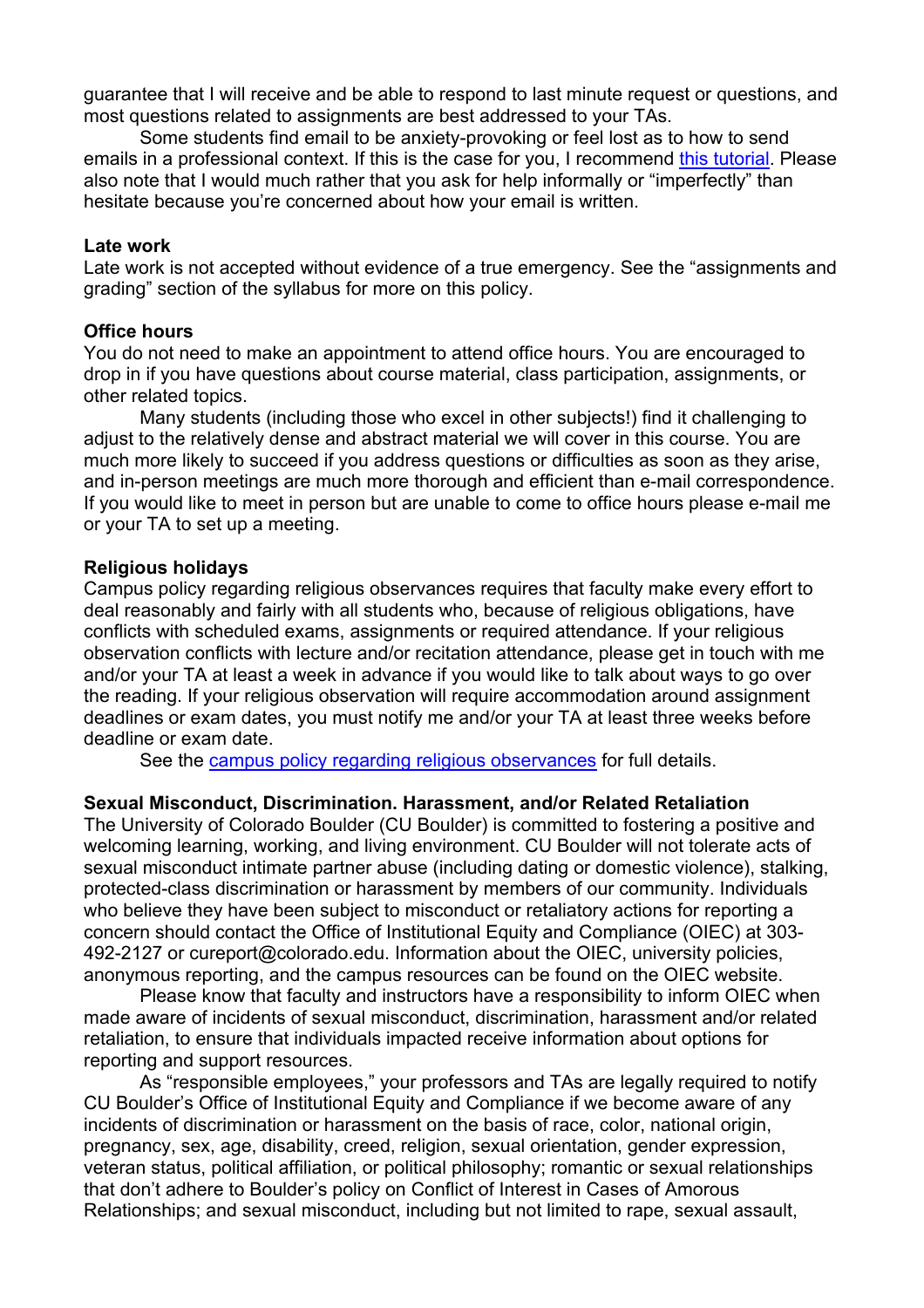guarantee that I will receive and be able to respond to last minute request or questions, and most questions related to assignments are best addressed to your TAs.

Some students find email to be anxiety-provoking or feel lost as to how to send emails in a professional context. If this is the case for you, I recommend this tutorial. Please also note that I would much rather that you ask for help informally or "imperfectly" than hesitate because you're concerned about how your email is written.

#### **Late work**

Late work is not accepted without evidence of a true emergency. See the "assignments and grading" section of the syllabus for more on this policy.

#### **Office hours**

You do not need to make an appointment to attend office hours. You are encouraged to drop in if you have questions about course material, class participation, assignments, or other related topics.

Many students (including those who excel in other subjects!) find it challenging to adjust to the relatively dense and abstract material we will cover in this course. You are much more likely to succeed if you address questions or difficulties as soon as they arise, and in-person meetings are much more thorough and efficient than e-mail correspondence. If you would like to meet in person but are unable to come to office hours please e-mail me or your TA to set up a meeting.

#### **Religious holidays**

Campus policy regarding religious observances requires that faculty make every effort to deal reasonably and fairly with all students who, because of religious obligations, have conflicts with scheduled exams, assignments or required attendance. If your religious observation conflicts with lecture and/or recitation attendance, please get in touch with me and/or your TA at least a week in advance if you would like to talk about ways to go over the reading. If your religious observation will require accommodation around assignment deadlines or exam dates, you must notify me and/or your TA at least three weeks before deadline or exam date.

See the campus policy regarding religious observances for full details.

#### **Sexual Misconduct, Discrimination. Harassment, and/or Related Retaliation**

The University of Colorado Boulder (CU Boulder) is committed to fostering a positive and welcoming learning, working, and living environment. CU Boulder will not tolerate acts of sexual misconduct intimate partner abuse (including dating or domestic violence), stalking, protected-class discrimination or harassment by members of our community. Individuals who believe they have been subject to misconduct or retaliatory actions for reporting a concern should contact the Office of Institutional Equity and Compliance (OIEC) at 303- 492-2127 or cureport@colorado.edu. Information about the OIEC, university policies, anonymous reporting, and the campus resources can be found on the OIEC website.

Please know that faculty and instructors have a responsibility to inform OIEC when made aware of incidents of sexual misconduct, discrimination, harassment and/or related retaliation, to ensure that individuals impacted receive information about options for reporting and support resources.

As "responsible employees," your professors and TAs are legally required to notify CU Boulder's Office of Institutional Equity and Compliance if we become aware of any incidents of discrimination or harassment on the basis of race, color, national origin, pregnancy, sex, age, disability, creed, religion, sexual orientation, gender expression, veteran status, political affiliation, or political philosophy; romantic or sexual relationships that don't adhere to Boulder's policy on Conflict of Interest in Cases of Amorous Relationships; and sexual misconduct, including but not limited to rape, sexual assault,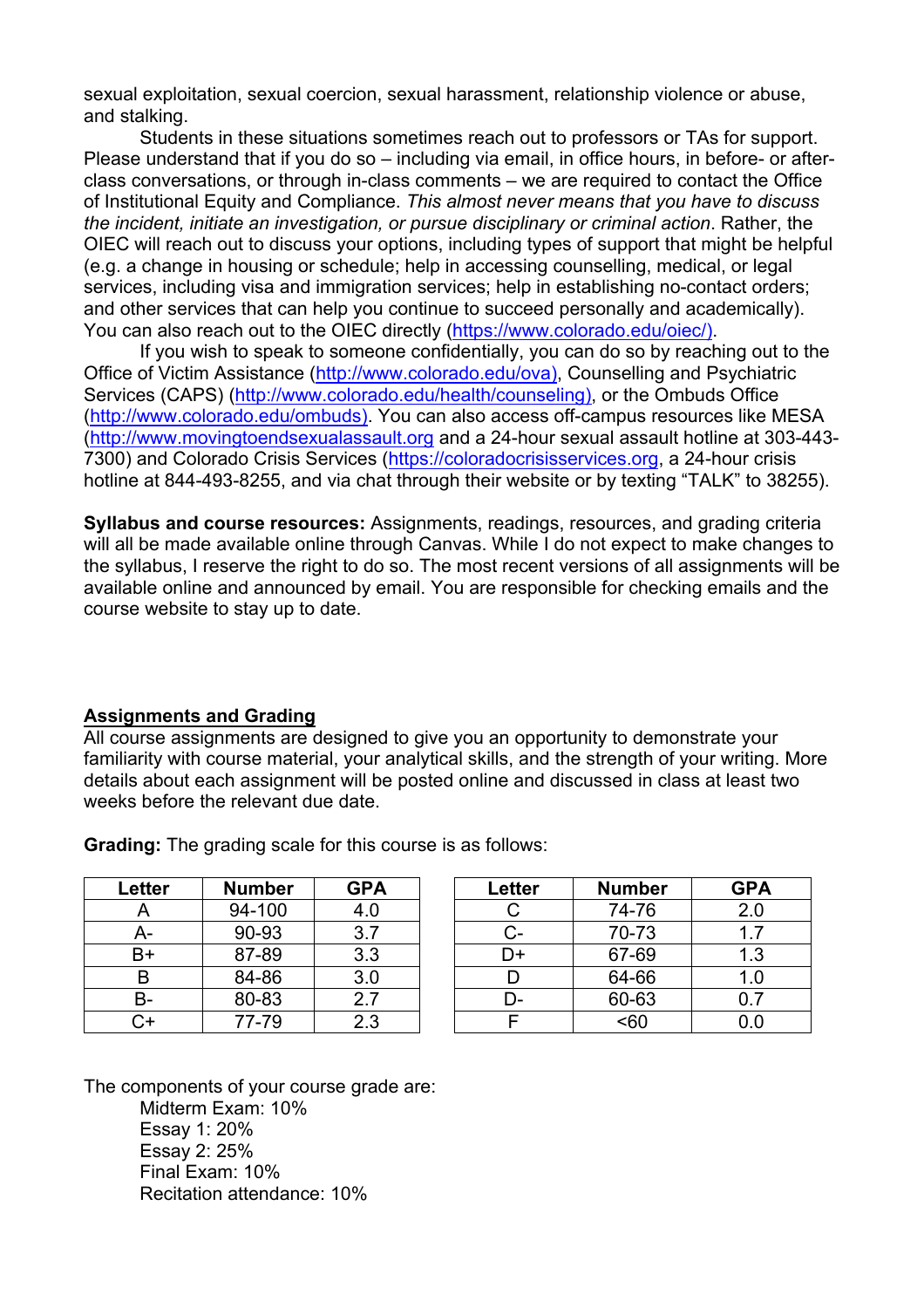sexual exploitation, sexual coercion, sexual harassment, relationship violence or abuse, and stalking.

Students in these situations sometimes reach out to professors or TAs for support. Please understand that if you do so – including via email, in office hours, in before- or afterclass conversations, or through in-class comments – we are required to contact the Office of Institutional Equity and Compliance. *This almost never means that you have to discuss the incident, initiate an investigation, or pursue disciplinary or criminal action*. Rather, the OIEC will reach out to discuss your options, including types of support that might be helpful (e.g. a change in housing or schedule; help in accessing counselling, medical, or legal services, including visa and immigration services; help in establishing no-contact orders; and other services that can help you continue to succeed personally and academically). You can also reach out to the OIEC directly (https://www.colorado.edu/oiec/).

If you wish to speak to someone confidentially, you can do so by reaching out to the Office of Victim Assistance (http://www.colorado.edu/ova), Counselling and Psychiatric Services (CAPS) (http://www.colorado.edu/health/counseling), or the Ombuds Office (http://www.colorado.edu/ombuds). You can also access off-campus resources like MESA (http://www.movingtoendsexualassault.org and a 24-hour sexual assault hotline at 303-443- 7300) and Colorado Crisis Services (https://coloradocrisisservices.org, a 24-hour crisis hotline at 844-493-8255, and via chat through their website or by texting "TALK" to 38255).

**Syllabus and course resources:** Assignments, readings, resources, and grading criteria will all be made available online through Canvas. While I do not expect to make changes to the syllabus, I reserve the right to do so. The most recent versions of all assignments will be available online and announced by email. You are responsible for checking emails and the course website to stay up to date.

# **Assignments and Grading**

All course assignments are designed to give you an opportunity to demonstrate your familiarity with course material, your analytical skills, and the strength of your writing. More details about each assignment will be posted online and discussed in class at least two weeks before the relevant due date.

| <b>Letter</b> | <b>Number</b> | <b>GPA</b> |
|---------------|---------------|------------|
|               | 94-100        | 4.0        |
| А-            | 90-93         | 3.7        |
| B+            | 87-89         | 3.3        |
|               | 84-86         | 3.0        |
|               | 80-83         | 2.7        |
| ∼⊥            | 77-79         | 2.3        |

| Letter    | <b>Number</b> | <b>GPA</b> | Letter | <b>Number</b> | <b>GPA</b> |
|-----------|---------------|------------|--------|---------------|------------|
| A         | 94-100        | 4.0        |        | 74-76         | 2.0        |
| A-        | 90-93         | 3.7        | C-     | 70-73         | 1.7        |
| $B+$      | 87-89         | 3.3        | D+     | 67-69         | 1.3        |
| B         | 84-86         | 3.0        |        | 64-66         | 1.0        |
| <b>B-</b> | 80-83         | 2.7        | D-     | 60-63         | 0.7        |
| $C+$      | 77-79         | 2.3        |        | $60$          | 0.0        |

**Grading:** The grading scale for this course is as follows:

The components of your course grade are: Midterm Exam: 10% Essay 1: 20% Essay 2: 25% Final Exam: 10% Recitation attendance: 10%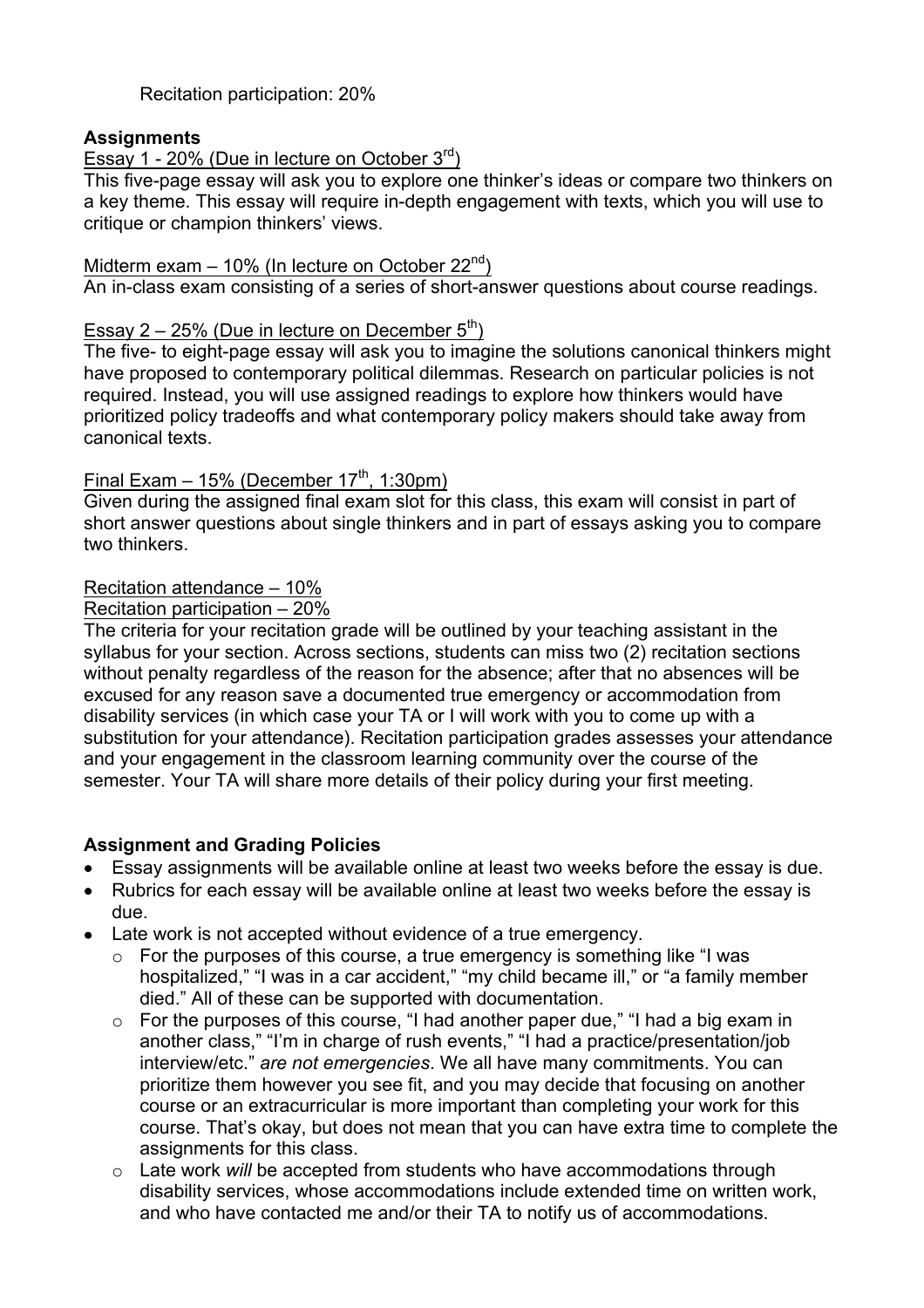# Recitation participation: 20%

## **Assignments**

# Essay 1 - 20% (Due in lecture on October  $3^{rd}$ )

This five-page essay will ask you to explore one thinker's ideas or compare two thinkers on a key theme. This essay will require in-depth engagement with texts, which you will use to critique or champion thinkers' views.

# Midterm exam  $-10\%$  (In lecture on October 22<sup>nd</sup>)

An in-class exam consisting of a series of short-answer questions about course readings.

# Essay  $2 - 25%$  (Due in lecture on December  $5<sup>th</sup>$ )

The five- to eight-page essay will ask you to imagine the solutions canonical thinkers might have proposed to contemporary political dilemmas. Research on particular policies is not required. Instead, you will use assigned readings to explore how thinkers would have prioritized policy tradeoffs and what contemporary policy makers should take away from canonical texts.

# Final Exam – 15% (December  $17<sup>th</sup>$ , 1:30pm)

Given during the assigned final exam slot for this class, this exam will consist in part of short answer questions about single thinkers and in part of essays asking you to compare two thinkers.

# Recitation attendance – 10%

# Recitation participation – 20%

The criteria for your recitation grade will be outlined by your teaching assistant in the syllabus for your section. Across sections, students can miss two (2) recitation sections without penalty regardless of the reason for the absence; after that no absences will be excused for any reason save a documented true emergency or accommodation from disability services (in which case your TA or I will work with you to come up with a substitution for your attendance). Recitation participation grades assesses your attendance and your engagement in the classroom learning community over the course of the semester. Your TA will share more details of their policy during your first meeting.

# **Assignment and Grading Policies**

- Essay assignments will be available online at least two weeks before the essay is due.
- Rubrics for each essay will be available online at least two weeks before the essay is due.
- Late work is not accepted without evidence of a true emergency.
	- o For the purposes of this course, a true emergency is something like "I was hospitalized," "I was in a car accident," "my child became ill," or "a family member died." All of these can be supported with documentation.
	- o For the purposes of this course, "I had another paper due," "I had a big exam in another class," "I'm in charge of rush events," "I had a practice/presentation/job interview/etc." *are not emergencies*. We all have many commitments. You can prioritize them however you see fit, and you may decide that focusing on another course or an extracurricular is more important than completing your work for this course. That's okay, but does not mean that you can have extra time to complete the assignments for this class.
	- o Late work *will* be accepted from students who have accommodations through disability services, whose accommodations include extended time on written work, and who have contacted me and/or their TA to notify us of accommodations.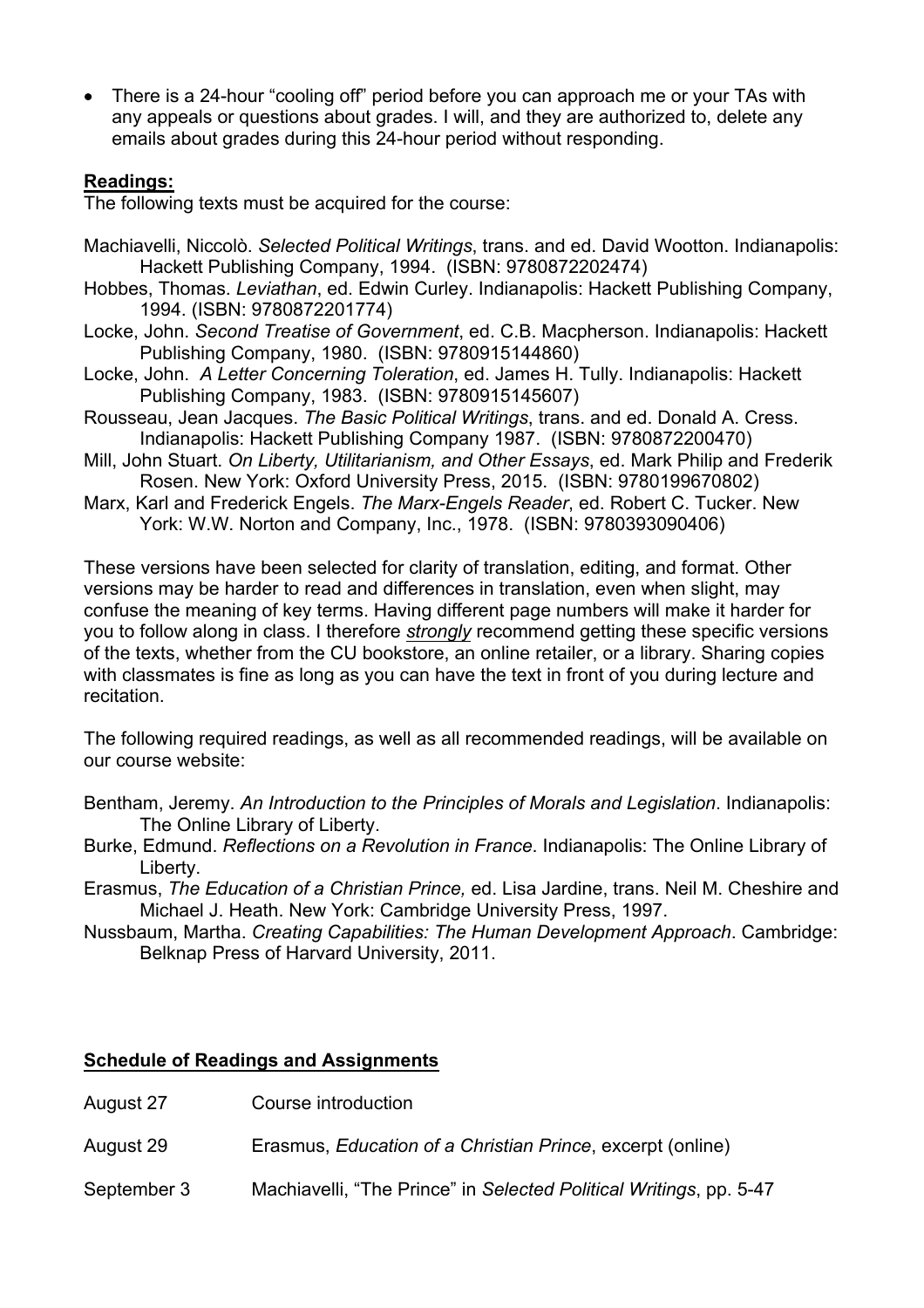• There is a 24-hour "cooling off" period before you can approach me or your TAs with any appeals or questions about grades. I will, and they are authorized to, delete any emails about grades during this 24-hour period without responding.

# **Readings:**

The following texts must be acquired for the course:

- Machiavelli, Niccolò. *Selected Political Writings*, trans. and ed. David Wootton. Indianapolis: Hackett Publishing Company, 1994. (ISBN: 9780872202474)
- Hobbes, Thomas. *Leviathan*, ed. Edwin Curley. Indianapolis: Hackett Publishing Company, 1994. (ISBN: 9780872201774)
- Locke, John. *Second Treatise of Government*, ed. C.B. Macpherson. Indianapolis: Hackett Publishing Company, 1980. (ISBN: 9780915144860)
- Locke, John. *A Letter Concerning Toleration*, ed. James H. Tully. Indianapolis: Hackett Publishing Company, 1983. (ISBN: 9780915145607)
- Rousseau, Jean Jacques. *The Basic Political Writings*, trans. and ed. Donald A. Cress. Indianapolis: Hackett Publishing Company 1987. (ISBN: 9780872200470)
- Mill, John Stuart. *On Liberty, Utilitarianism, and Other Essays*, ed. Mark Philip and Frederik Rosen. New York: Oxford University Press, 2015. (ISBN: 9780199670802)
- Marx, Karl and Frederick Engels. *The Marx-Engels Reader*, ed. Robert C. Tucker. New York: W.W. Norton and Company, Inc., 1978. (ISBN: 9780393090406)

These versions have been selected for clarity of translation, editing, and format. Other versions may be harder to read and differences in translation, even when slight, may confuse the meaning of key terms. Having different page numbers will make it harder for you to follow along in class. I therefore *strongly* recommend getting these specific versions of the texts, whether from the CU bookstore, an online retailer, or a library. Sharing copies with classmates is fine as long as you can have the text in front of you during lecture and recitation.

The following required readings, as well as all recommended readings, will be available on our course website:

- Bentham, Jeremy. *An Introduction to the Principles of Morals and Legislation*. Indianapolis: The Online Library of Liberty.
- Burke, Edmund. *Reflections on a Revolution in France*. Indianapolis: The Online Library of Liberty.
- Erasmus, *The Education of a Christian Prince,* ed. Lisa Jardine, trans. Neil M. Cheshire and Michael J. Heath. New York: Cambridge University Press, 1997.
- Nussbaum, Martha. *Creating Capabilities: The Human Development Approach*. Cambridge: Belknap Press of Harvard University, 2011.

# **Schedule of Readings and Assignments**

| August 27   | Course introduction                                                |
|-------------|--------------------------------------------------------------------|
| August 29   | Erasmus, <i>Education of a Christian Prince</i> , excerpt (online) |
| September 3 | Machiavelli, "The Prince" in Selected Political Writings, pp. 5-47 |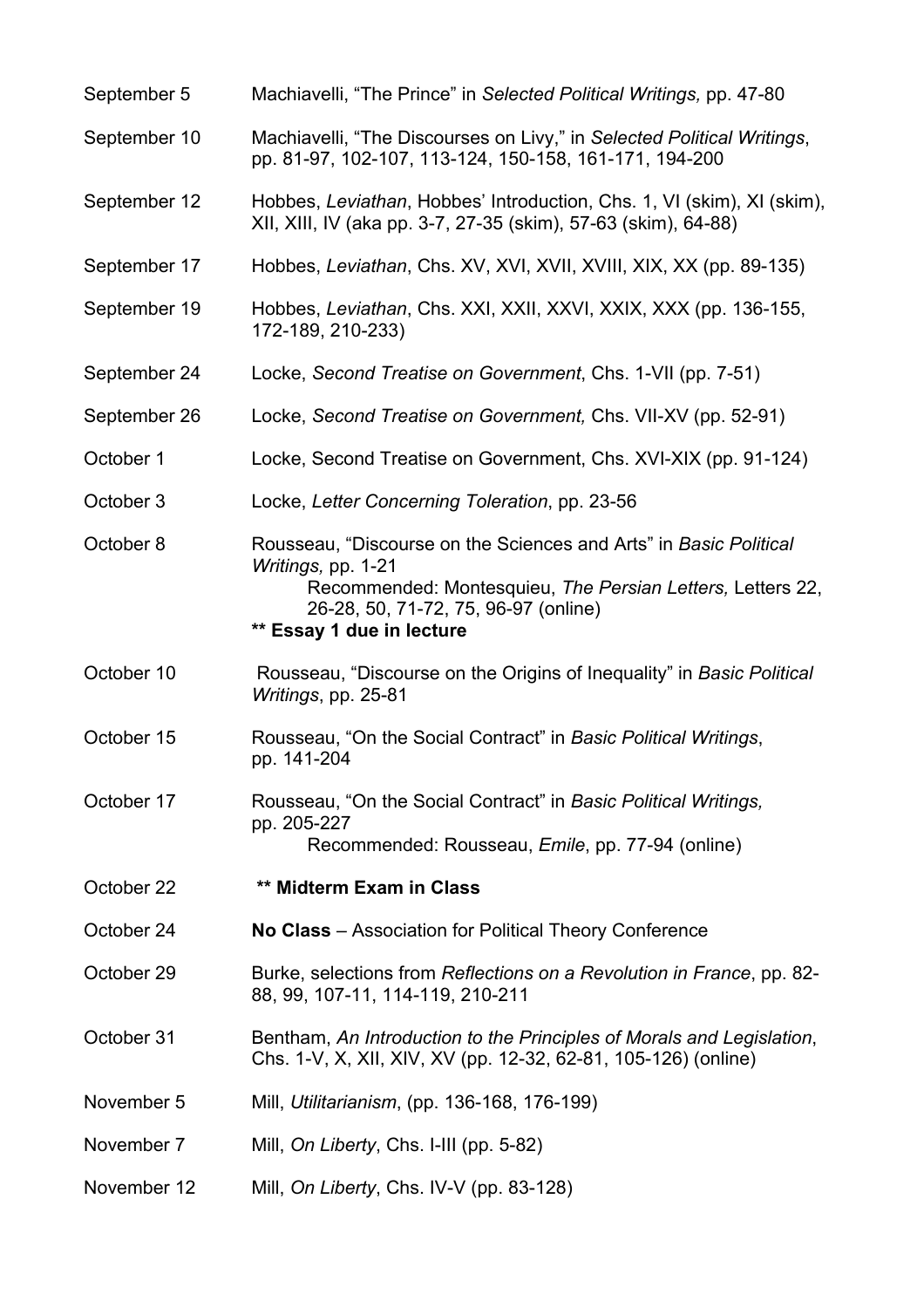| September 5  | Machiavelli, "The Prince" in Selected Political Writings, pp. 47-80                                                                                                                                                        |
|--------------|----------------------------------------------------------------------------------------------------------------------------------------------------------------------------------------------------------------------------|
| September 10 | Machiavelli, "The Discourses on Livy," in Selected Political Writings,<br>pp. 81-97, 102-107, 113-124, 150-158, 161-171, 194-200                                                                                           |
| September 12 | Hobbes, Leviathan, Hobbes' Introduction, Chs. 1, VI (skim), XI (skim),<br>XII, XIII, IV (aka pp. 3-7, 27-35 (skim), 57-63 (skim), 64-88)                                                                                   |
| September 17 | Hobbes, Leviathan, Chs. XV, XVI, XVII, XVIII, XIX, XX (pp. 89-135)                                                                                                                                                         |
| September 19 | Hobbes, Leviathan, Chs. XXI, XXII, XXVI, XXIX, XXX (pp. 136-155,<br>172-189, 210-233)                                                                                                                                      |
| September 24 | Locke, Second Treatise on Government, Chs. 1-VII (pp. 7-51)                                                                                                                                                                |
| September 26 | Locke, Second Treatise on Government, Chs. VII-XV (pp. 52-91)                                                                                                                                                              |
| October 1    | Locke, Second Treatise on Government, Chs. XVI-XIX (pp. 91-124)                                                                                                                                                            |
| October 3    | Locke, Letter Concerning Toleration, pp. 23-56                                                                                                                                                                             |
| October 8    | Rousseau, "Discourse on the Sciences and Arts" in Basic Political<br>Writings, pp. 1-21<br>Recommended: Montesquieu, The Persian Letters, Letters 22,<br>26-28, 50, 71-72, 75, 96-97 (online)<br>** Essay 1 due in lecture |
| October 10   | Rousseau, "Discourse on the Origins of Inequality" in Basic Political<br>Writings, pp. 25-81                                                                                                                               |
| October 15   | Rousseau, "On the Social Contract" in Basic Political Writings,<br>pp. 141-204                                                                                                                                             |
| October 17   | Rousseau, "On the Social Contract" in Basic Political Writings,<br>pp. 205-227<br>Recommended: Rousseau, Emile, pp. 77-94 (online)                                                                                         |
| October 22   | ** Midterm Exam in Class                                                                                                                                                                                                   |
| October 24   | No Class - Association for Political Theory Conference                                                                                                                                                                     |
| October 29   | Burke, selections from Reflections on a Revolution in France, pp. 82-<br>88, 99, 107-11, 114-119, 210-211                                                                                                                  |
| October 31   | Bentham, An Introduction to the Principles of Morals and Legislation,<br>Chs. 1-V, X, XII, XIV, XV (pp. 12-32, 62-81, 105-126) (online)                                                                                    |
| November 5   | Mill, Utilitarianism, (pp. 136-168, 176-199)                                                                                                                                                                               |
| November 7   | Mill, On Liberty, Chs. I-III (pp. 5-82)                                                                                                                                                                                    |
| November 12  | Mill, On Liberty, Chs. IV-V (pp. 83-128)                                                                                                                                                                                   |